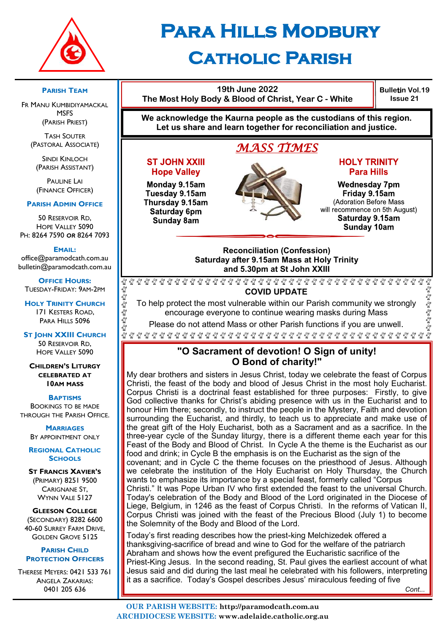

# **Para Hills Modbury Catholic Parish**

**19th June 2022 The Most Holy Body & Blood of Christ, Year C - White**

**Bulletin Vol.19 Issue 21**

**We acknowledge the Kaurna people as the custodians of this region. Let us share and learn together for reconciliation and justice.**

## *MASS TIMES*

#### **ST JOHN XXIII Hope Valley**

Monday 9.15am Tuesday 9.15am Thursday 9.15am Saturday 6pm Sunday 8am



#### **HOLY TRINITY Para Hills**

**Wednesday 7pm** Friday 9.15am (Adoration Before Mass will recommence on 5th August) Saturday 9.15am Sunday 10am

#### **Reconciliation (Confession) Saturday after 9.15am Mass at Holy Trinity and 5.30pm at St John XXIII**

 $\gamma_{\rm M}^{\rm O}$ E E E E E E **COVID UPDATE**

To help protect the most vulnerable within our Parish community we strongly encourage everyone to continue wearing masks during Mass

Please do not attend Mass or other Parish functions if you are unwell.

## **"O Sacrament of devotion! O Sign of unity! O Bond of charity!"**

My dear brothers and sisters in Jesus Christ, today we celebrate the feast of Corpus Christi, the feast of the body and blood of Jesus Christ in the most holy Eucharist. Corpus Christi is a doctrinal feast established for three purposes: Firstly, to give God collective thanks for Christ's abiding presence with us in the Eucharist and to honour Him there; secondly, to instruct the people in the Mystery, Faith and devotion surrounding the Eucharist, and thirdly, to teach us to appreciate and make use of the great gift of the Holy Eucharist, both as a Sacrament and as a sacrifice. In the three-year cycle of the Sunday liturgy, there is a different theme each year for this Feast of the Body and Blood of Christ. In Cycle A the theme is the Eucharist as our food and drink; in Cycle B the emphasis is on the Eucharist as the sign of the covenant; and in Cycle C the theme focuses on the priesthood of Jesus. Although we celebrate the institution of the Holy Eucharist on Holy Thursday, the Church wants to emphasize its importance by a special feast, formerly called "Corpus Christi." It was Pope Urban IV who first extended the feast to the universal Church. Today's celebration of the Body and Blood of the Lord originated in the Diocese of Liege, Belgium, in 1246 as the feast of Corpus Christi. In the reforms of Vatican II, Corpus Christi was joined with the feast of the Precious Blood (July 1) to become the Solemnity of the Body and Blood of the Lord.

Today's first reading describes how the priest-king Melchizedek offered a thanksgiving-sacrifice of bread and wine to God for the welfare of the patriarch Abraham and shows how the event prefigured the Eucharistic sacrifice of the Priest-King Jesus. In the second reading, St. Paul gives the earliest account of what Jesus said and did during the last meal he celebrated with his followers, interpreting it as a sacrifice. Today's Gospel describes Jesus' miraculous feeding of five

**PARISH TEAM**

FR MANU KUMBIDIYAMACKAL **MSFS** (PARISH PRIEST)

TASH SOUTER (PASTORAL ASSOCIATE)

SINDI KINLOCH (PARISH ASSISTANT)

**PAULINE LAI** (FINANCE OFFICER)

#### **PARISH ADMIN OFFICE**

50 RESERVOIR RD, HOPE VALLEY 5090 PH: 8264 7590 *OR* 8264 7093

**EMAIL:** 

office@paramodcath.com.au bulletin@paramodcath.com.au

**OFFICE HOURS:**  TUESDAY-FRIDAY: 9AM-2PM

 $\frac{\circ}{\mathsf{M}}$ 

Eg Eg Eg Eg Eg

Eg Eg E

**HOLY TRINITY CHURCH** 171 KESTERS ROAD, PARA HILLS 5096

**ST JOHN XXIII CHURCH** 50 RESERVOIR RD, HOPE VALLEY 5090

**CHILDREN'S LITURGY CELEBRATED AT 10AM MASS**

**BAPTISMS**

BOOKINGS TO BE MADE THROUGH THE PARISH OFFICE.

> **MARRIAGES** BY APPOINTMENT ONLY

**REGIONAL CATHOLIC SCHOOLS**

**ST FRANCIS XAVIER'S** (PRIMARY) 8251 9500 CARIGNANE ST, WYNN VALE 5127

**GLEESON COLLEGE** (SECONDARY) 8282 6600 40-60 SURREY FARM DRIVE, GOLDEN GROVE 5125

**PARISH CHILD PROTECTION OFFICERS**

THERESE MEYERS: 0421 533 761 ANGELA ZAKARIAS: 0401 205 636

นั้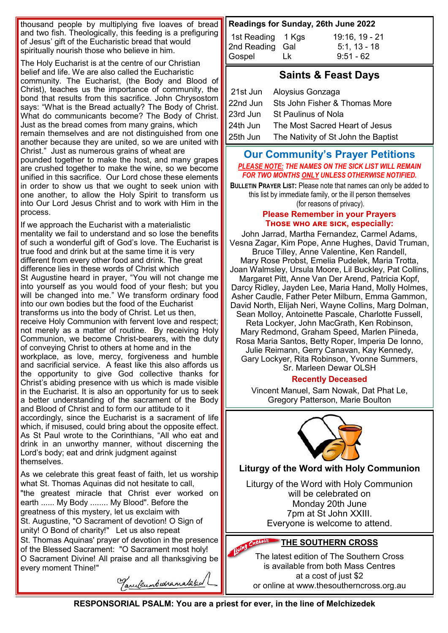thousand people by multiplying five loaves of bread and two fish. Theologically, this feeding is a prefiguring of Jesus' gift of the Eucharistic bread that would spiritually nourish those who believe in him.

The Holy Eucharist is at the centre of our Christian belief and life. We are also called the Eucharistic community. The Eucharist, (the Body and Blood of Christ), teaches us the importance of community, the bond that results from this sacrifice. John Chrysostom says: "What is the Bread actually? The Body of Christ. What do communicants become? The Body of Christ. Just as the bread comes from many grains, which remain themselves and are not distinguished from one another because they are united, so we are united with Christ." Just as numerous grains of wheat are pounded together to make the host, and many grapes are crushed together to make the wine, so we become unified in this sacrifice. Our Lord chose these elements in order to show us that we ought to seek union with one another, to allow the Holy Spirit to transform us into Our Lord Jesus Christ and to work with Him in the process.

If we approach the Eucharist with a materialistic mentality we fail to understand and so lose the benefits of such a wonderful gift of God's love. The Eucharist is true food and drink but at the same time it is very different from every other food and drink. The great difference lies in these words of Christ which St Augustine heard in prayer, "You will not change me into yourself as you would food of your flesh; but you will be changed into me." We transform ordinary food into our own bodies but the food of the Eucharist transforms us into the body of Christ. Let us then, receive Holy Communion with fervent love and respect; not merely as a matter of routine. By receiving Holy Communion, we become Christ-bearers, with the duty of conveying Christ to others at home and in the workplace, as love, mercy, forgiveness and humble and sacrificial service. A feast like this also affords us the opportunity to give God collective thanks for Christ's abiding presence with us which is made visible in the Eucharist. It is also an opportunity for us to seek a better understanding of the sacrament of the Body and Blood of Christ and to form our attitude to it accordingly, since the Eucharist is a sacrament of life which, if misused, could bring about the opposite effect. As St Paul wrote to the Corinthians, "All who eat and drink in an unworthy manner, without discerning the

Lord's body; eat and drink judgment against themselves.

As we celebrate this great feast of faith, let us worship what St. Thomas Aquinas did not hesitate to call, "the greatest miracle that Christ ever worked on earth ...... My Body ........ My Blood". Before the greatness of this mystery, let us exclaim with St. Augustine, "O Sacrament of devotion! O Sign of unity! O Bond of charity!" Let us also repeat St. Thomas Aquinas' prayer of devotion in the presence of the Blessed Sacrament: "O Sacrament most holy! O Sacrament Divine! All praise and all thanksgiving be every moment Thine!"

Tanekumbedramalaked

## **Readings for Sunday, 26th June 2022**

| 1st Reading 1 Kgs   | 19:16, 19 - 21 |
|---------------------|----------------|
| 2nd Reading Gal     | $5:1, 13 - 18$ |
| Gospel<br><u>Lk</u> | $9:51 - 62$    |

## **Saints & Feast Days**

|          | 21st Jun Aloysius Gonzaga                    |
|----------|----------------------------------------------|
|          | 22nd Jun Sts John Fisher & Thomas More       |
|          | 23rd Jun St Paulinus of Nola                 |
| 24th Jun | The Most Sacred Heart of Jesus               |
|          | 25th Jun The Nativity of St John the Baptist |

#### **Our Community's Prayer Petitions**  *PLEASE NOTE: THE NAMES ON THE SICK LIST WILL REMAIN FOR TWO MONTHS ONLY UNLESS OTHERWISE NOTIFIED.*

**BULLETIN PRAYER LIST:** Please note that names can only be added to this list by immediate family, or the ill person themselves (for reasons of privacy).

#### **Please Remember in your Prayers Those who are sick, especially:**

John Jarrad, Martha Fernandez, Carmel Adams, Vesna Zagar, Kim Pope, Anne Hughes, David Truman, Bruce Tilley, Anne Valentine, Ken Randell, Mary Rose Probst, Emelia Pudelek, Maria Trotta, Joan Walmsley, Ursula Moore, Lil Buckley, Pat Collins, Margaret Pitt, Anne Van Der Arend, Patricia Kopf, Darcy Ridley, Jayden Lee, Maria Hand, Molly Holmes, Asher Caudle, Father Peter Milburn, Emma Gammon, David North, Elijah Neri, Wayne Collins, Marg Dolman, Sean Molloy, Antoinette Pascale, Charlotte Fussell, Reta Lockyer, John MacGrath, Ken Robinson, Mary Redmond, Graham Speed, Marlen Piineda, Rosa Maria Santos, Betty Roper, Imperia De Ionno, Julie Reimann, Gerry Canavan, Kay Kennedy, Gary Lockyer, Rita Robinson, Yvonne Summers, Sr. Marleen Dewar OLSH

## **Recently Deceased**

Vincent Manuel, Sam Nowak, Dat Phat Le, Gregory Patterson, Marie Boulton



## **Liturgy of the Word with Holy Communion**

Liturgy of the Word with Holy Communion will be celebrated on Monday 20th June 7pm at St John XXIII. Everyone is welcome to attend.

# **THE SOUTHERN CROSS**

The latest edition of The Southern Cross is available from both Mass Centres at a cost of just \$2 or online at www.thesoutherncross.org.au

**RESPONSORIAL PSALM: You are a priest for ever, in the line of Melchizedek**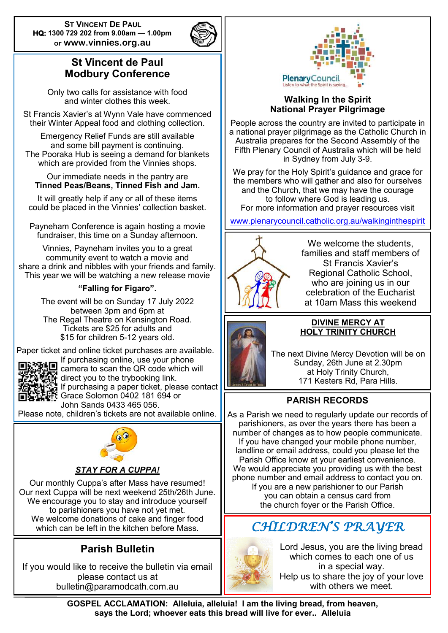**ST VINCENT DE PAUL HQ: 1300 729 202 from 9.00am — 1.00pm or www.vinnies.org.au** 



## **St Vincent de Paul Modbury Conference**

Only two calls for assistance with food and winter clothes this week.

St Francis Xavier's at Wynn Vale have commenced their Winter Appeal food and clothing collection.

Emergency Relief Funds are still available and some bill payment is continuing. The Pooraka Hub is seeing a demand for blankets which are provided from the Vinnies shops.

#### Our immediate needs in the pantry are **Tinned Peas/Beans, Tinned Fish and Jam.**

It will greatly help if any or all of these items could be placed in the Vinnies' collection basket.

Payneham Conference is again hosting a movie fundraiser, this time on a Sunday afternoon.

Vinnies, Payneham invites you to a great community event to watch a movie and share a drink and nibbles with your friends and family. This year we will be watching a new release movie

## **"Falling for Figaro".**

The event will be on Sunday 17 July 2022 between 3pm and 6pm at The Regal Theatre on Kensington Road. Tickets are \$25 for adults and \$15 for children 5-12 years old.

Paper ticket and online ticket purchases are available.



If purchasing online, use your phone camera to scan the QR code which will direct you to the trybooking link. If purchasing a paper ticket, please contact Grace Solomon 0402 181 694 or John Sands 0433 465 056.

Please note, children's tickets are not available online.



## *STAY FOR A CUPPA!*

Our monthly Cuppa's after Mass have resumed! Our next Cuppa will be next weekend 25th/26th June. We encourage you to stay and introduce yourself to parishioners you have not yet met. We welcome donations of cake and finger food which can be left in the kitchen before Mass.

## **Parish Bulletin**

If you would like to receive the bulletin via email please contact us at bulletin@paramodcath.com.au



#### **Walking In the Spirit National Prayer Pilgrimage**

People across the country are invited to participate in a national prayer pilgrimage as the Catholic Church in Australia prepares for the Second Assembly of the Fifth Plenary Council of Australia which will be held in Sydney from July 3-9.

We pray for the Holy Spirit's guidance and grace for the members who will gather and also for ourselves and the Church, that we may have the courage to follow where God is leading us. For more information and prayer resources visit

[www.plenarycouncil.catholic.org.au/walkinginthespirit](http://www.plenarycouncil.catholic.org.au/walkinginthespirit)



We welcome the students, families and staff members of St Francis Xavier's Regional Catholic School, who are joining us in our celebration of the Eucharist at 10am Mass this weekend



#### **DIVINE MERCY AT HOLY TRINITY CHURCH**

The next Divine Mercy Devotion will be on Sunday, 26th June at 2.30pm at Holy Trinity Church, 171 Kesters Rd, Para Hills.

## **PARISH RECORDS**

As a Parish we need to regularly update our records of parishioners, as over the years there has been a number of changes as to how people communicate. If you have changed your mobile phone number, landline or email address, could you please let the Parish Office know at your earliest convenience. We would appreciate you providing us with the best phone number and email address to contact you on. If you are a new parishioner to our Parish you can obtain a census card from the church foyer or the Parish Office.

## *CHILDREN'S PRAYER*



Lord Jesus, you are the living bread which comes to each one of us in a special way. Help us to share the joy of your love with others we meet.

**GOSPEL ACCLAMATION: Alleluia, alleluia! I am the living bread, from heaven, says the Lord; whoever eats this bread will live for ever.. Alleluia**